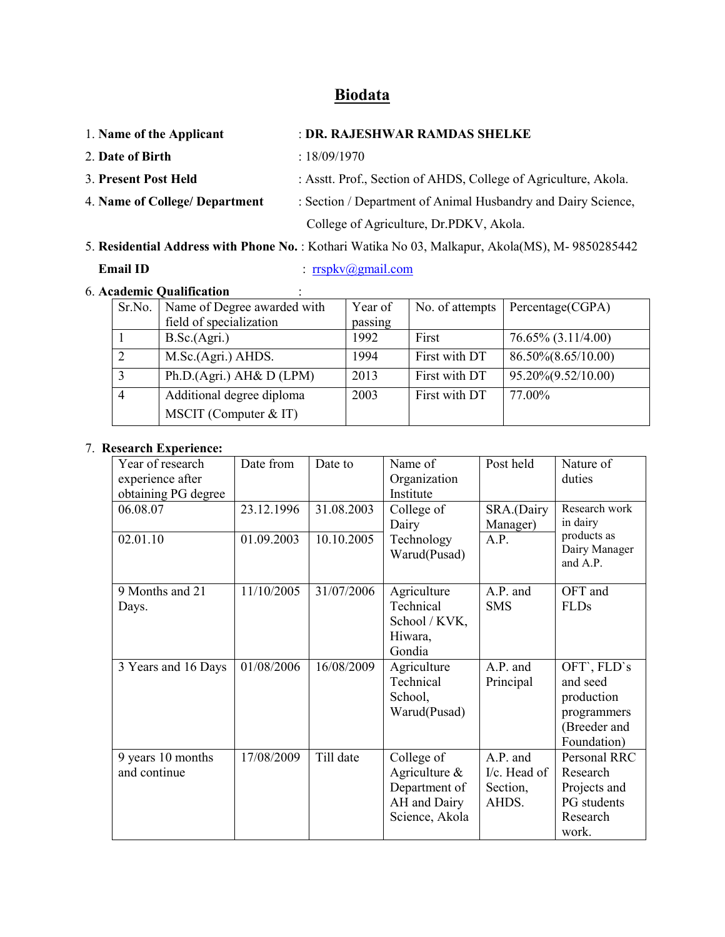# Biodata

| 1. Name of the Applicant       | : DR. RAJESHWAR RAMDAS SHELKE                                   |  |
|--------------------------------|-----------------------------------------------------------------|--|
| 2. Date of Birth               | : 18/09/1970                                                    |  |
| 3. Present Post Held           | : Asstt. Prof., Section of AHDS, College of Agriculture, Akola. |  |
| 4. Name of College/ Department | : Section / Department of Animal Husbandry and Dairy Science,   |  |
|                                | College of Agriculture, Dr.PDKV, Akola.                         |  |

5. Residential Address with Phone No. : Kothari Watika No 03, Malkapur, Akola(MS), M- 9850285442 Email ID : rrspkv@gmail.com

# 6. Academic Qualification :

|                | Sr.No.   Name of Degree awarded with | Year of | No. of attempts | Percentage(CGPA)        |
|----------------|--------------------------------------|---------|-----------------|-------------------------|
|                | field of specialization              | passing |                 |                         |
|                | B.Sc.(Agri.)                         | 1992    | First           | $76.65\%$ $(3.11/4.00)$ |
| 2              | M.Sc.(Agri.) AHDS.                   | 1994    | First with DT   | 86.50%(8.65/10.00)      |
| 3              | Ph.D.(Agri.) AH& D (LPM)             | 2013    | First with DT   | 95.20%(9.52/10.00)      |
| $\overline{4}$ | Additional degree diploma            | 2003    | First with DT   | 77.00%                  |
|                | MSCIT (Computer $&$ IT)              |         |                 |                         |

## 7. Research Experience:

| Year of research    | Date from  | Date to    | Name of        | Post held    | Nature of                 |
|---------------------|------------|------------|----------------|--------------|---------------------------|
| experience after    |            |            | Organization   |              | duties                    |
| obtaining PG degree |            |            | Institute      |              |                           |
| 06.08.07            | 23.12.1996 | 31.08.2003 | College of     | SRA.(Dairy   | Research work             |
|                     |            |            | Dairy          | Manager)     | in dairy                  |
| 02.01.10            | 01.09.2003 | 10.10.2005 | Technology     | A.P.         | products as               |
|                     |            |            | Warud(Pusad)   |              | Dairy Manager<br>and A.P. |
| 9 Months and 21     | 11/10/2005 | 31/07/2006 | Agriculture    | A.P. and     | OFT and                   |
| Days.               |            |            | Technical      | <b>SMS</b>   | <b>FLDs</b>               |
|                     |            |            | School / KVK,  |              |                           |
|                     |            |            | Hiwara,        |              |                           |
|                     |            |            | Gondia         |              |                           |
| 3 Years and 16 Days | 01/08/2006 | 16/08/2009 | Agriculture    | A.P. and     | OFT', FLD's               |
|                     |            |            | Technical      | Principal    | and seed                  |
|                     |            |            | School,        |              | production                |
|                     |            |            | Warud(Pusad)   |              | programmers               |
|                     |            |            |                |              | (Breeder and              |
|                     |            |            |                |              | Foundation)               |
| 9 years 10 months   | 17/08/2009 | Till date  | College of     | A.P. and     | Personal RRC              |
| and continue        |            |            | Agriculture &  | I/c. Head of | Research                  |
|                     |            |            | Department of  | Section,     | Projects and              |
|                     |            |            | AH and Dairy   | AHDS.        | PG students               |
|                     |            |            | Science, Akola |              | Research                  |
|                     |            |            |                |              | work.                     |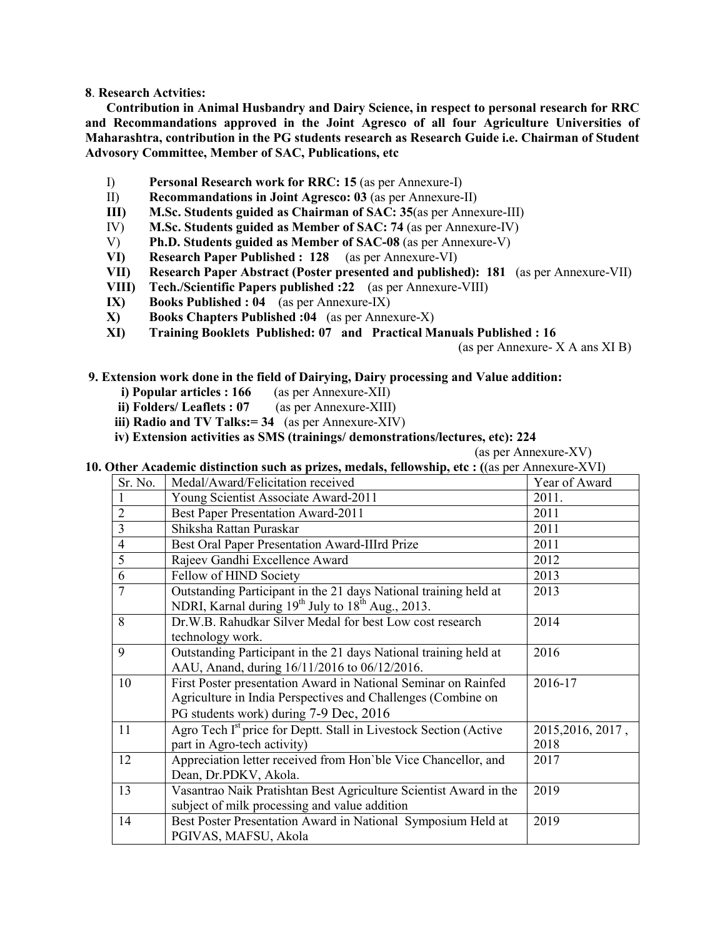8. Research Actvities:

Contribution in Animal Husbandry and Dairy Science, in respect to personal research for RRC and Recommandations approved in the Joint Agresco of all four Agriculture Universities of Maharashtra, contribution in the PG students research as Research Guide i.e. Chairman of Student Advosory Committee, Member of SAC, Publications, etc

- I) Personal Research work for RRC: 15 (as per Annexure-I)
- II) Recommandations in Joint Agresco: 03 (as per Annexure-II)
- III) M.Sc. Students guided as Chairman of SAC: 35(as per Annexure-III)
- IV) M.Sc. Students guided as Member of SAC: 74 (as per Annexure-IV)
- V) Ph.D. Students guided as Member of SAC-08 (as per Annexure-V)
- VI) Research Paper Published : 128 (as per Annexure-VI)
- VII) Research Paper Abstract (Poster presented and published): 181 (as per Annexure-VII)
- VIII) Tech./Scientific Papers published :22 (as per Annexure-VIII)
- IX) Books Published : 04 (as per Annexure-IX)
- X) Books Chapters Published :04 (as per Annexure-X)
- XI) Training Booklets Published: 07 and Practical Manuals Published : 16

(as per Annexure- X A ans XI B)

#### 9. Extension work done in the field of Dairying, Dairy processing and Value addition:

- i) Popular articles : 166 (as per Annexure-XII)
- ii) Folders/ Leaflets : 07 (as per Annexure-XIII)
- iii) Radio and TV Talks:  $= 34$  (as per Annexure-XIV)
- iv) Extension activities as SMS (trainings/ demonstrations/lectures, etc): 224

(as per Annexure-XV)

10. Other Academic distinction such as prizes, medals, fellowship, etc : ((as per Annexure-XVI)

| Sr. No.                  | Medal/Award/Felicitation received                                             | Year of Award     |
|--------------------------|-------------------------------------------------------------------------------|-------------------|
|                          | Young Scientist Associate Award-2011                                          | 2011.             |
| $\overline{2}$           | <b>Best Paper Presentation Award-2011</b>                                     | 2011              |
| $\overline{3}$           | Shiksha Rattan Puraskar                                                       | 2011              |
| $\overline{\mathcal{A}}$ | Best Oral Paper Presentation Award-IIIrd Prize                                | 2011              |
| 5                        | Rajeev Gandhi Excellence Award                                                | 2012              |
| 6                        | Fellow of HIND Society                                                        | 2013              |
| 7                        | Outstanding Participant in the 21 days National training held at              | 2013              |
|                          | NDRI, Karnal during $19^{th}$ July to $18^{th}$ Aug., 2013.                   |                   |
| 8                        | Dr.W.B. Rahudkar Silver Medal for best Low cost research                      | 2014              |
|                          | technology work.                                                              |                   |
| 9                        | Outstanding Participant in the 21 days National training held at              | 2016              |
|                          | AAU, Anand, during 16/11/2016 to 06/12/2016.                                  |                   |
| 10                       | First Poster presentation Award in National Seminar on Rainfed                | 2016-17           |
|                          | Agriculture in India Perspectives and Challenges (Combine on                  |                   |
|                          | PG students work) during 7-9 Dec, 2016                                        |                   |
| 11                       | Agro Tech I <sup>st</sup> price for Deptt. Stall in Livestock Section (Active | 2015, 2016, 2017, |
|                          | part in Agro-tech activity)                                                   | 2018              |
| 12                       | Appreciation letter received from Hon'ble Vice Chancellor, and                | 2017              |
|                          | Dean, Dr.PDKV, Akola.                                                         |                   |
| 13                       | Vasantrao Naik Pratishtan Best Agriculture Scientist Award in the             | 2019              |
|                          | subject of milk processing and value addition                                 |                   |
| 14                       | Best Poster Presentation Award in National Symposium Held at                  | 2019              |
|                          | PGIVAS, MAFSU, Akola                                                          |                   |